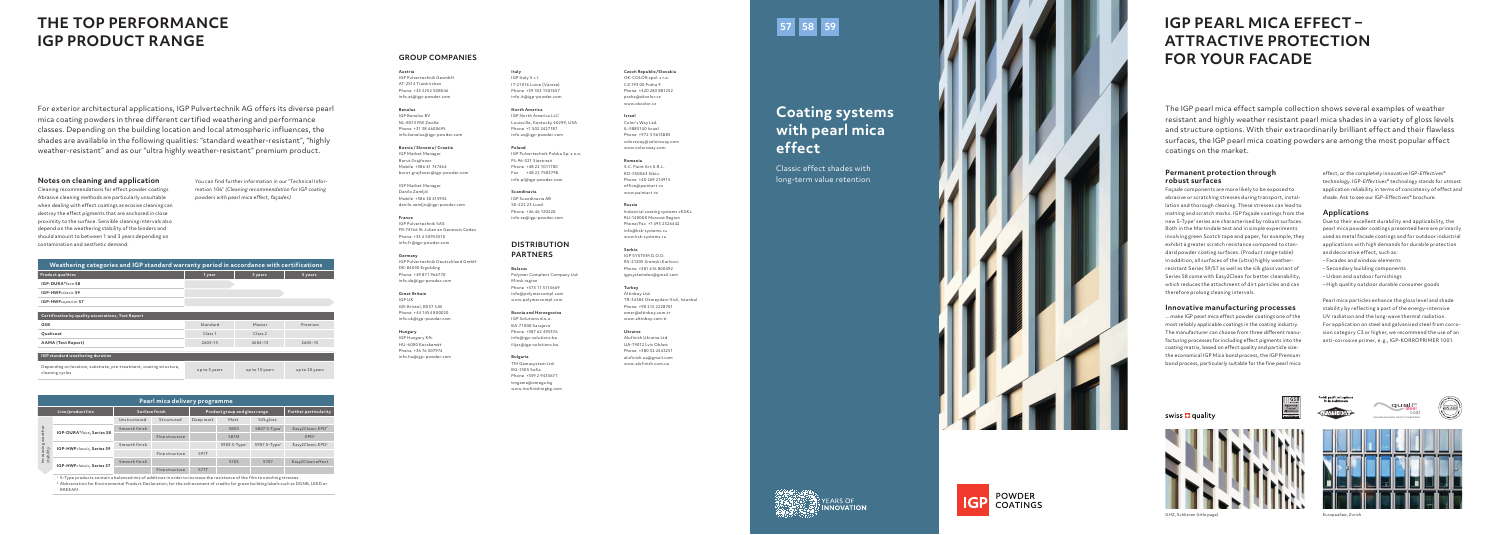# **Coating systems with pearl mica effect**

Classic effect shades with long-term value retention

# **THE TOP PERFORMANCE IGP PRODUCT RANGE**

For exterior architectural applications, IGP Pulvertechnik AG offers its diverse pearl mica coating powders in three different certified weathering and performance classes. Depending on the building location and local atmospheric influences, the shades are available in the following qualities: "standard weather-resistant", "highly weather-resistant" and as our "ultra highly weather-resistant" premium product.

## **Notes on cleaning and application**

Cleaning recommendations for effect powder coatings Abrasive cleaning methods are particularly unsuitable when dealing with effect coatings as erosive cleaning can destroy the effect pigments that are anchored in close proximity to the surface. Sensible cleaning intervals also depend on the weathering stability of the binders and should amount to between 1 and 3 years depending on contamination and aesthetic demand.

You can find further information in our "Technical Infor mation 106" *(Cleaning recommendation for IGP coating powders with pearl mica effect, façades)*

The IGP pearl mica effect sample collection shows several examples of weather resistant and highly weather resistant pearl mica shades in a variety of gloss levels and structure options. With their extraordinarily brilliant effect and their flawless surfaces, the IGP pearl mica coating powders are among the most popular effect coatings on the market.

# **Permanent protection through robust surfaces**

Façade components are more likely to be exposed to abrasive or scratching stresses during transport, instal lation and thorough cleaning. These stresses can lead to matting and scratch marks. IGP façade coatings from the new S-Type 1 series are characterised by robust surfaces. Both in the Martindale test and in simple experiments involving green Scotch tape and paper, for example, they exhibit a greater scratch resistance compared to stan dard powder coating surfaces. (Product range table) In addition, all surfaces of the (ultra) highly weatherresistant Series 59/57 as well as the silk gloss variant of Series 58 come with Easy2Clean for better cleanability, which reduces the attachment of dirt particles and can therefore prolong cleaning intervals.

## **Innovative manufacturing processes**

...make IGP pearl mica effect powder coatings one of the most reliably applicable coatings in the coating industry. The manufacturer can choose from three different manufacturing processes for including effect pigments into the coating matrix, based on effect quality and particle size: the economical IGP Mica bond process, the IGP Premium bond process, particularly suitable for the fine pearl mica

effect, or the completely innovative IGP-*Effectives*® technology. IGP-*Effectives*® technology stands for utmost application reliability in terms of consistency of effect and shade. Ask to see our IGP-*Effectives*® brochure.

# **Applications**

Due to their excellent durability and applicability, the pearl mica powder coatings presented here are primarily used as metal facade coatings and for outdoor industrial applications with high demands for durable protection and decorative effect, such as:

- Facades and window elements
- Secondary building components
- Urban and outdoor furnishings
- High quality outdoor durable consumer goods

Pearl mica particles enhance the gloss level and shade stability by reflecting a part of the energy-intensive UV radiation and the long-wave thermal radiation. For application on steel and galvanised steel from corro sion category C3 or higher, we recommend the use of an anti-corrosive primer, e. g., IGP-KORROPRIMER 1001.



# **IGP PEARL MICA EFFECT – ATTRACTIVE PROTECTION FOR YOUR FACADE**







| Weathering categories and IGP standard warranty period in accordance with certifications |                    |                |                |  |  |  |  |  |
|------------------------------------------------------------------------------------------|--------------------|----------------|----------------|--|--|--|--|--|
| <b>Product qualities</b>                                                                 | 1 year             | 3 years        | 5 years        |  |  |  |  |  |
| IGP-DURA®face 58                                                                         |                    |                |                |  |  |  |  |  |
| <b>IGP-HWFclassic 59</b>                                                                 |                    |                |                |  |  |  |  |  |
| IGP-HWFsuperior 57                                                                       |                    |                |                |  |  |  |  |  |
|                                                                                          |                    |                |                |  |  |  |  |  |
| Certification by quality associations, Test Report                                       |                    |                |                |  |  |  |  |  |
| <b>GSB</b>                                                                               | Standard           | Master         | Premium        |  |  |  |  |  |
| Qualicoat                                                                                | Class <sub>1</sub> | Class 2        |                |  |  |  |  |  |
| AAMA (Test Report)                                                                       | $2603 - 15$        | $2604 - 13$    | $2605 - 13$    |  |  |  |  |  |
|                                                                                          |                    |                |                |  |  |  |  |  |
| IGP standard weathering duration                                                         |                    |                |                |  |  |  |  |  |
| Depending on location, substrate, pre-treatment, coating structure,<br>cleaning cycles   | up to 5 years      | up to 10 years | up to 20 years |  |  |  |  |  |









| Pearl mica delivery programme        |                                     |               |                               |           |                          |                              |                              |  |  |  |
|--------------------------------------|-------------------------------------|---------------|-------------------------------|-----------|--------------------------|------------------------------|------------------------------|--|--|--|
|                                      | Surface finish<br>Line/product line |               | Product group and gloss range |           |                          | <b>Further particularity</b> |                              |  |  |  |
| weather<br>Increasing \<br>stability |                                     | Unstructured  | Structured                    | Deep matt | Matt                     | Silk gloss                   |                              |  |  |  |
|                                      | IGP-DURA®face, Series 58            | Smooth finish |                               |           | 5803                     | 5807 S-Type <sup>1</sup>     | Easy2Clean; EPD <sup>2</sup> |  |  |  |
|                                      |                                     |               | Fine structure                |           | 581M                     |                              | EPD <sup>2</sup>             |  |  |  |
|                                      | IGP-HWFclassic, Series 59           | Smooth finish |                               |           | 5903 S-Type <sup>1</sup> | 5907 S-Type <sup>1</sup>     | Easy2Clean; EPD <sup>2</sup> |  |  |  |
|                                      |                                     |               | Fine structure                | 591T      |                          |                              |                              |  |  |  |
|                                      | IGP-HWFclassic, Series 57           | Smooth finish |                               |           | 5703                     | 5707                         | Easy2Clean effect            |  |  |  |
|                                      |                                     |               | Fine structure                | 571T      |                          |                              |                              |  |  |  |

1 S-Type products contain a balanced mix of additives in order to increase the resistance of the film to notching stresses.

2 Abbreviation for Environmental Product Declaration; for the achievement of credits for green building labels such as DGNB, LEED or BREEAM.

# **GROUP COMPANIES**

**Austria** IGP Pulvertechnik GesmbH AT-2514 Traiskirchen Phone +43 2252 508046 info.at@igp-powder.com

**Benelux** IGP Benelux BV NL-8013 RW Zwolle Phone +31 38 4600695 info.benelux@igp-powder.com

**Bosnia / Slovenia / Croatia** IGP Market Manager Borut Grajfoner Mobile +386 41 747464 borut.grajfoner@igp-powder.com

IGP Market Manager Danilo Zemljič Mobile +386 30 415934 danilo.zemljic@igp-powder.com

**France** IGP Pulvertechnik SAS FR-74166 St Julien en Genevois Cedex Phone +33 4 50953510 info.fr@igp-powder.com

**Germany** IGP Pulvertechnik Deutschland GmbH DE-84030 Ergolding Phone +49 871 966770 info.de@igp-powder.com

**Great Britain** IGP UK GB-Bristol, BS37 5JB Phone +44 1454 800020 info.uk@igp-powder.com

**Hungary** IGP Hungary Kft. HU-6000 Kecskemét Phone +36 76 507974 info.hu@igp-powder.com **Italy** IGP Italy S.r.l. IT-21016 Luino (Varese) Phone +39 332 1507657 info.it@igp-powder.com

**North America** IGP North America LLC Louisville, Kentucky 40299, USA Phone +1 502 2427187

info.us@igp-powder.com

**Poland** IGP Pulvertechnik Polska Sp. z o.o. PL-96-321 Siestrzeń Phone +48 22 1011700 Fax +48 22 7583798 info.pl@igp-powder.com

**Scandinavia** IGP Scandinavia AB SE-222 23 Lund Phone +46 46 120220 info.se@igp-powder.com

# **DISTRIBUTION PARTNERS**

**Belarus**

Polymer Complect Company Ltd Minsk region Phone +375 17 5114669 info@polymercompl.com www.polymercompl.com

### **Bosnia and Herzegovina**

IGP Solutions d.o.o. BA-71000 Sarajevo Phone +387 62 495376 info@igp-solutions.ba ilijas@igp-solutions.ba

### **Bulgaria**

TM Gamasystem Ltd. BG-1505 Sofia Phone +359 2 9433677 tmgama@omega.bg www.itwfinishingbg.com **Czech Republic/Slovakia** OK-COLOR spol. s r.o.



**Israel** Color's Way Ltd. IL-5885140 Israel Phone +972 3 5613885 colorsway@colorsway.com www.colorsway.com

**Romania** 

S.C. Paint Art S.R.L. RO-550063 Sibiu Phone +40 269 214915 office@paintart.ro www.paintart.ro

### **Russia**

Industrial coating systems «KSK» RU-140000 Moscow Region Phone/Fax +7 495 2326442 info@ksk-systems.ru www.ksk-systems.ru

## **Serbia**

IGP SYSTEM D.O.O. RS-21205 Sremski Karlovci Phone +381 616 800492 igpsystemdoo@gmail.com

### **Turkey**

Altinboy Ltd. TR-34384 Okmeydani-Sisli, Istanbul Phone +90 212 2228701 omer@altinboy.com.tr www.altinboy.com.tr

### **Ukraine**

Alufinish Ukraine Ltd. UA-79012 Lviv Oblast Phone +380 32 2443251 alufinish.ua@gmail.com www.alufinish.com.ua